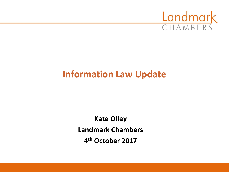

## **Information Law Update**

**Kate Olley Landmark Chambers 4 th October 2017**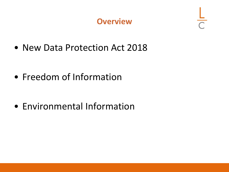#### **Overview**

• New Data Protection Act 2018

• Freedom of Information

• Environmental Information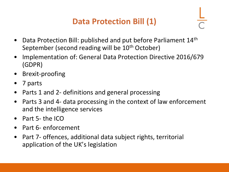## **Data Protection Bill (1)**

- Data Protection Bill: published and put before Parliament 14<sup>th</sup> September (second reading will be 10<sup>th</sup> October)
- Implementation of: General Data Protection Directive 2016/679 (GDPR)
- Brexit-proofing
- 7 parts
- Parts 1 and 2- definitions and general processing
- Parts 3 and 4- data processing in the context of law enforcement and the intelligence services
- Part 5- the ICO
- Part 6- enforcement
- Part 7- offences, additional data subject rights, territorial application of the UK's legislation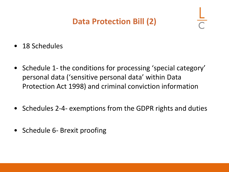### **Data Protection Bill (2)**

- 18 Schedules
- Schedule 1- the conditions for processing 'special category' personal data ('sensitive personal data' within Data Protection Act 1998) and criminal conviction information
- Schedules 2-4- exemptions from the GDPR rights and duties
- Schedule 6- Brexit proofing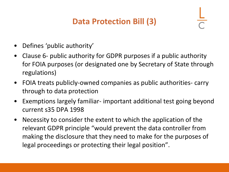## **Data Protection Bill (3)**

- Defines 'public authority'
- Clause 6- public authority for GDPR purposes if a public authority for FOIA purposes (or designated one by Secretary of State through regulations)
- FOIA treats publicly-owned companies as public authorities- carry through to data protection
- Exemptions largely familiar- important additional test going beyond current s35 DPA 1998
- Necessity to consider the extent to which the application of the relevant GDPR principle "would prevent the data controller from making the disclosure that they need to make for the purposes of legal proceedings or protecting their legal position".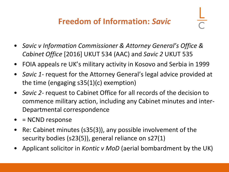### **Freedom of Information:** *Savic*

- *Savic v Information Commissioner & Attorney General's Office & Cabinet Office* [2016] UKUT 534 (AAC) and *Savic 2* UKUT 535
- FOIA appeals re UK's military activity in Kosovo and Serbia in 1999
- *Savic 1* request for the Attorney General's legal advice provided at the time (engaging s35(1)(c) exemption)
- *Savic 2-* request to Cabinet Office for all records of the decision to commence military action, including any Cabinet minutes and inter-Departmental correspondence
- = NCND response
- Re: Cabinet minutes (s35(3)), any possible involvement of the security bodies (s23(5)), general reliance on s27(1)
- Applicant solicitor in *Kontic v MoD* (aerial bombardment by the UK)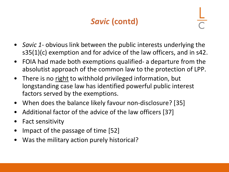## *Savic* **(contd)**

- *Savic 1-* obvious link between the public interests underlying the s35(1)(c) exemption and for advice of the law officers, and in s42.
- FOIA had made both exemptions qualified- a departure from the absolutist approach of the common law to the protection of LPP.
- There is no right to withhold privileged information, but longstanding case law has identified powerful public interest factors served by the exemptions.
- When does the balance likely favour non-disclosure? [35]
- Additional factor of the advice of the law officers [37]
- Fact sensitivity
- Impact of the passage of time [52]
- Was the military action purely historical?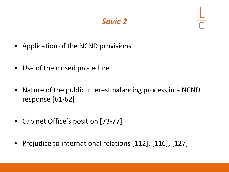### *Savic 2*

- Application of the NCND provisions
- Use of the closed procedure
- Nature of the public interest balancing process in a NCND response [61-62]
- Cabinet Office's position [73-77]
- Prejudice to international relations [112], [116], [127]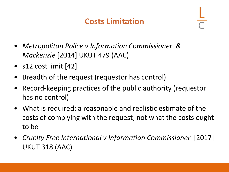### **Costs Limitation**

- *Metropolitan Police v Information Commissioner & Mackenzie* [2014] UKUT 479 (AAC)
- s12 cost limit [42]
- Breadth of the request (requestor has control)
- Record-keeping practices of the public authority (requestor has no control)
- What is required: a reasonable and realistic estimate of the costs of complying with the request; not what the costs ought to be
- *Cruelty Free International v Information Commissioner* [2017] UKUT 318 (AAC)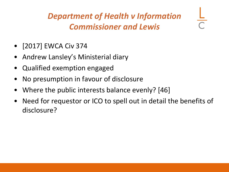## *Department of Health v Information Commissioner and Lewis*

- [2017] EWCA Civ 374
- Andrew Lansley's Ministerial diary
- Qualified exemption engaged
- No presumption in favour of disclosure
- Where the public interests balance evenly? [46]
- Need for requestor or ICO to spell out in detail the benefits of disclosure?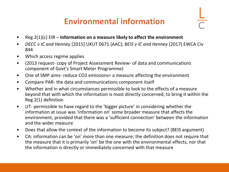### **Environmental information**

- Reg 2(1)(c) EIR **information on a measure likely to affect the environment**
- *DECC v IC and Henney* [2015] UKUT 0671 (AAC); *BEIS v IC and Henney* [2017] EWCA Civ 844
- Which access regime applies
- (2013 request- copy of Project Assessment Review- of data and communications component of Govt's Smart Meter Programme)
- One of SMP aims- reduce CO2 emissions = a measure affecting the environment
- Compare PAR- the data and communications component itself
- Whether and in what circumstances permissible to look to the effects of a measure beyond that with which the information is most directly concerned, to bring it within the Reg 2(1) definition
- UT- permissible to have regard to the 'bigger picture' in considering whether the information at issue was 'information on' some broader measure that affects the environment, provided that there was a 'sufficient connection' between the information and the wider measure
- Does that allow the context of the information to become its subject? (BEIS argument)
- CA: information can be 'on' more than one measure; the definition does not require that the measure that it is primarily 'on' be the one with the environmental effects, nor that the information is directly or immediately concerned with that measure